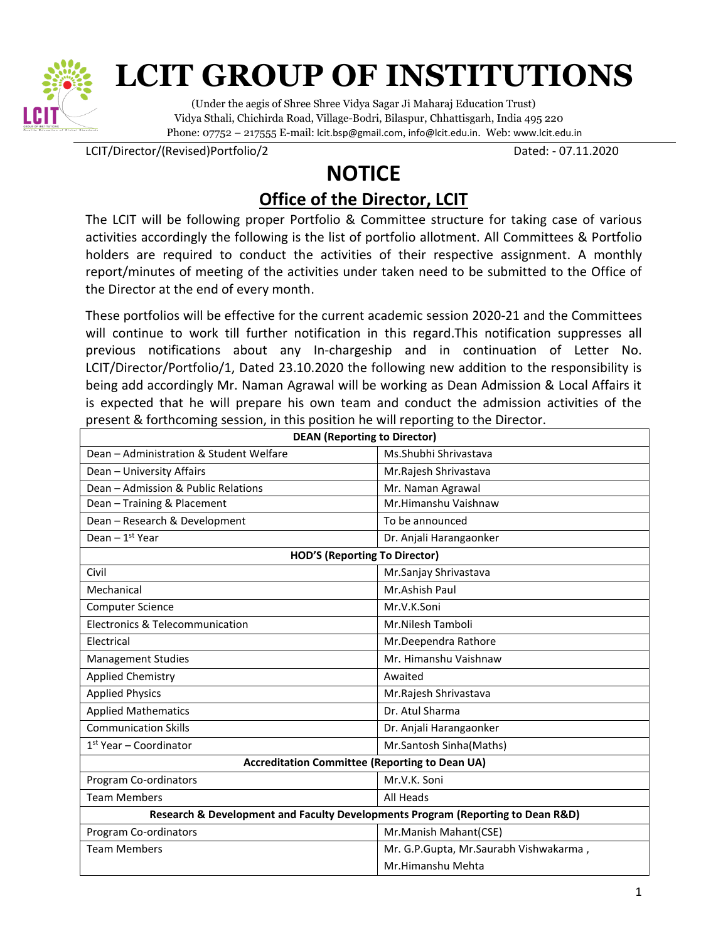

## **LCIT GROUP OF INSTITUTIONS**

(Under the aegis of Shree Shree Vidya Sagar Ji Maharaj Education Trust) Vidya Sthali, Chichirda Road, Village-Bodri, Bilaspur, Chhattisgarh, India 495 220 Phone: 07752 – 217555 E-mail: [lcit.bsp@gmail.com](mailto:lcit.bsp@gmail.com), [info@lcit.edu.in](mailto:info@lcit.edu.in). Web: [www.lcit.edu.in](http://www.lcit.edu.in/)

LCIT/Director/(Revised)Portfolio/2 Dated: - 07.11.2020

## **NOTICE**

## **Office of the Director, LCIT**

The LCIT will be following proper Portfolio & Committee structure for taking case of various activities accordingly the following is the list of portfolio allotment. All Committees & Portfolio holders are required to conduct the activities of their respective assignment. A monthly report/minutes of meeting of the activities under taken need to be submitted to the Office of the Director at the end of every month.

These portfolios will be effective for the current academic session 2020-21 and the Committees will continue to work till further notification in this regard.This notification suppresses all previous notifications about any In-chargeship and in continuation of Letter No. LCIT/Director/Portfolio/1, Dated 23.10.2020 the following new addition to the responsibility is being add accordingly Mr. Naman Agrawal will be working as Dean Admission & Local Affairs it is expected that he will prepare his own team and conduct the admission activities of the present & forthcoming session, in this position he will reporting to the Director.

| <b>DEAN (Reporting to Director)</b>                                             |                                        |  |  |  |  |
|---------------------------------------------------------------------------------|----------------------------------------|--|--|--|--|
| Dean - Administration & Student Welfare                                         | Ms.Shubhi Shrivastava                  |  |  |  |  |
| Dean - University Affairs                                                       | Mr. Rajesh Shrivastava                 |  |  |  |  |
| Dean - Admission & Public Relations                                             | Mr. Naman Agrawal                      |  |  |  |  |
| Dean - Training & Placement                                                     | Mr.Himanshu Vaishnaw                   |  |  |  |  |
| Dean - Research & Development                                                   | To be announced                        |  |  |  |  |
| Dean - 1st Year                                                                 | Dr. Anjali Harangaonker                |  |  |  |  |
| <b>HOD'S (Reporting To Director)</b>                                            |                                        |  |  |  |  |
| Civil                                                                           | Mr.Sanjay Shrivastava                  |  |  |  |  |
| Mechanical                                                                      | Mr.Ashish Paul                         |  |  |  |  |
| <b>Computer Science</b>                                                         | Mr.V.K.Soni                            |  |  |  |  |
| Electronics & Telecommunication                                                 | Mr.Nilesh Tamboli                      |  |  |  |  |
| Electrical                                                                      | Mr.Deependra Rathore                   |  |  |  |  |
| <b>Management Studies</b>                                                       | Mr. Himanshu Vaishnaw                  |  |  |  |  |
| <b>Applied Chemistry</b>                                                        | Awaited                                |  |  |  |  |
| <b>Applied Physics</b>                                                          | Mr. Rajesh Shrivastava                 |  |  |  |  |
| <b>Applied Mathematics</b>                                                      | Dr. Atul Sharma                        |  |  |  |  |
| <b>Communication Skills</b>                                                     | Dr. Anjali Harangaonker                |  |  |  |  |
| $1st$ Year – Coordinator                                                        | Mr.Santosh Sinha(Maths)                |  |  |  |  |
| <b>Accreditation Committee (Reporting to Dean UA)</b>                           |                                        |  |  |  |  |
| Program Co-ordinators                                                           | Mr.V.K. Soni                           |  |  |  |  |
| <b>Team Members</b>                                                             | All Heads                              |  |  |  |  |
| Research & Development and Faculty Developments Program (Reporting to Dean R&D) |                                        |  |  |  |  |
| Program Co-ordinators                                                           | Mr.Manish Mahant(CSE)                  |  |  |  |  |
| <b>Team Members</b>                                                             | Mr. G.P.Gupta, Mr.Saurabh Vishwakarma, |  |  |  |  |
|                                                                                 | Mr.Himanshu Mehta                      |  |  |  |  |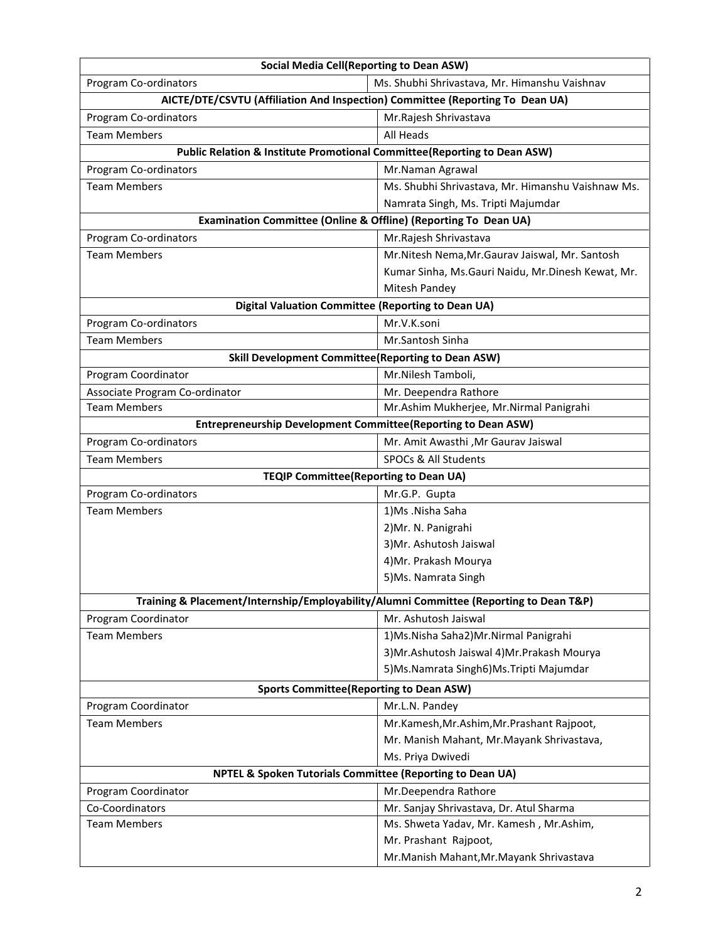| <b>Social Media Cell(Reporting to Dean ASW)</b>                                        |                                                     |  |  |  |  |  |
|----------------------------------------------------------------------------------------|-----------------------------------------------------|--|--|--|--|--|
| Program Co-ordinators                                                                  | Ms. Shubhi Shrivastava, Mr. Himanshu Vaishnav       |  |  |  |  |  |
| AICTE/DTE/CSVTU (Affiliation And Inspection) Committee (Reporting To Dean UA)          |                                                     |  |  |  |  |  |
| Program Co-ordinators                                                                  | Mr.Rajesh Shrivastava                               |  |  |  |  |  |
| <b>Team Members</b>                                                                    | All Heads                                           |  |  |  |  |  |
| Public Relation & Institute Promotional Committee (Reporting to Dean ASW)              |                                                     |  |  |  |  |  |
| Program Co-ordinators                                                                  | Mr.Naman Agrawal                                    |  |  |  |  |  |
| <b>Team Members</b>                                                                    | Ms. Shubhi Shrivastava, Mr. Himanshu Vaishnaw Ms.   |  |  |  |  |  |
|                                                                                        | Namrata Singh, Ms. Tripti Majumdar                  |  |  |  |  |  |
| Examination Committee (Online & Offline) (Reporting To Dean UA)                        |                                                     |  |  |  |  |  |
| Program Co-ordinators                                                                  | Mr. Rajesh Shrivastava                              |  |  |  |  |  |
| <b>Team Members</b>                                                                    | Mr.Nitesh Nema, Mr.Gaurav Jaiswal, Mr. Santosh      |  |  |  |  |  |
|                                                                                        | Kumar Sinha, Ms. Gauri Naidu, Mr. Dinesh Kewat, Mr. |  |  |  |  |  |
|                                                                                        | Mitesh Pandey                                       |  |  |  |  |  |
| <b>Digital Valuation Committee (Reporting to Dean UA)</b>                              |                                                     |  |  |  |  |  |
| Program Co-ordinators                                                                  | Mr.V.K.soni                                         |  |  |  |  |  |
| <b>Team Members</b>                                                                    | Mr.Santosh Sinha                                    |  |  |  |  |  |
| <b>Skill Development Committee (Reporting to Dean ASW)</b>                             |                                                     |  |  |  |  |  |
| Program Coordinator                                                                    | Mr.Nilesh Tamboli,                                  |  |  |  |  |  |
| Associate Program Co-ordinator                                                         | Mr. Deependra Rathore                               |  |  |  |  |  |
| <b>Team Members</b>                                                                    | Mr.Ashim Mukherjee, Mr.Nirmal Panigrahi             |  |  |  |  |  |
| Entrepreneurship Development Committee(Reporting to Dean ASW)                          |                                                     |  |  |  |  |  |
| Program Co-ordinators                                                                  | Mr. Amit Awasthi , Mr Gaurav Jaiswal                |  |  |  |  |  |
| <b>Team Members</b>                                                                    | SPOCs & All Students                                |  |  |  |  |  |
| <b>TEQIP Committee (Reporting to Dean UA)</b>                                          |                                                     |  |  |  |  |  |
| Program Co-ordinators                                                                  | Mr.G.P. Gupta                                       |  |  |  |  |  |
| <b>Team Members</b>                                                                    | 1)Ms .Nisha Saha                                    |  |  |  |  |  |
|                                                                                        | 2) Mr. N. Panigrahi                                 |  |  |  |  |  |
|                                                                                        | 3) Mr. Ashutosh Jaiswal                             |  |  |  |  |  |
|                                                                                        | 4) Mr. Prakash Mourya                               |  |  |  |  |  |
|                                                                                        | 5)Ms. Namrata Singh                                 |  |  |  |  |  |
| Training & Placement/Internship/Employability/Alumni Committee (Reporting to Dean T&P) |                                                     |  |  |  |  |  |
| Program Coordinator                                                                    | Mr. Ashutosh Jaiswal                                |  |  |  |  |  |
| <b>Team Members</b>                                                                    | 1) Ms. Nisha Saha2) Mr. Nirmal Panigrahi            |  |  |  |  |  |
|                                                                                        | 3) Mr. Ashutosh Jaiswal 4) Mr. Prakash Mourya       |  |  |  |  |  |
|                                                                                        | 5) Ms. Namrata Singh6) Ms. Tripti Majumdar          |  |  |  |  |  |
| <b>Sports Committee(Reporting to Dean ASW)</b>                                         |                                                     |  |  |  |  |  |
| Program Coordinator                                                                    | Mr.L.N. Pandey                                      |  |  |  |  |  |
| <b>Team Members</b>                                                                    | Mr.Kamesh, Mr.Ashim, Mr.Prashant Rajpoot,           |  |  |  |  |  |
|                                                                                        | Mr. Manish Mahant, Mr. Mayank Shrivastava,          |  |  |  |  |  |
|                                                                                        | Ms. Priya Dwivedi                                   |  |  |  |  |  |
| <b>NPTEL &amp; Spoken Tutorials Committee (Reporting to Dean UA)</b>                   |                                                     |  |  |  |  |  |
| Program Coordinator                                                                    | Mr.Deependra Rathore                                |  |  |  |  |  |
| Co-Coordinators                                                                        | Mr. Sanjay Shrivastava, Dr. Atul Sharma             |  |  |  |  |  |
| <b>Team Members</b>                                                                    | Ms. Shweta Yadav, Mr. Kamesh, Mr.Ashim,             |  |  |  |  |  |
|                                                                                        | Mr. Prashant Rajpoot,                               |  |  |  |  |  |
|                                                                                        | Mr.Manish Mahant, Mr.Mayank Shrivastava             |  |  |  |  |  |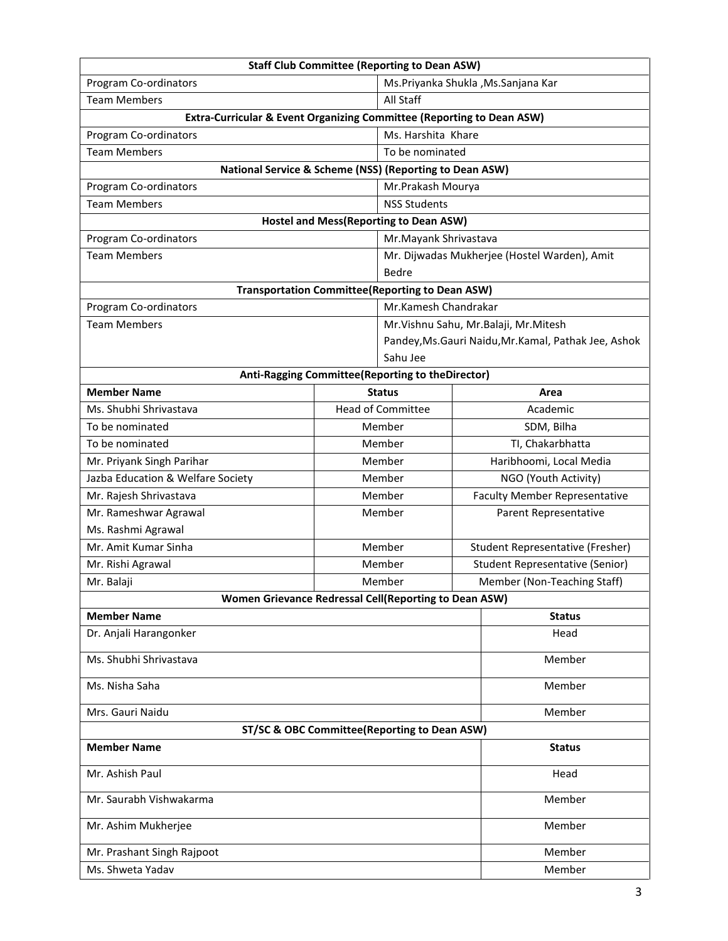| <b>Staff Club Committee (Reporting to Dean ASW)</b>                   |                                        |                                     |        |                                                       |  |  |
|-----------------------------------------------------------------------|----------------------------------------|-------------------------------------|--------|-------------------------------------------------------|--|--|
| Program Co-ordinators                                                 |                                        | Ms.Priyanka Shukla , Ms.Sanjana Kar |        |                                                       |  |  |
| <b>Team Members</b>                                                   |                                        | All Staff                           |        |                                                       |  |  |
| Extra-Curricular & Event Organizing Committee (Reporting to Dean ASW) |                                        |                                     |        |                                                       |  |  |
| Program Co-ordinators                                                 |                                        | Ms. Harshita Khare                  |        |                                                       |  |  |
| <b>Team Members</b>                                                   | To be nominated                        |                                     |        |                                                       |  |  |
| National Service & Scheme (NSS) (Reporting to Dean ASW)               |                                        |                                     |        |                                                       |  |  |
| Program Co-ordinators                                                 |                                        | Mr.Prakash Mourya                   |        |                                                       |  |  |
| <b>Team Members</b>                                                   |                                        | <b>NSS Students</b>                 |        |                                                       |  |  |
|                                                                       | Hostel and Mess(Reporting to Dean ASW) |                                     |        |                                                       |  |  |
| Program Co-ordinators                                                 | Mr.Mayank Shrivastava                  |                                     |        |                                                       |  |  |
| <b>Team Members</b>                                                   |                                        |                                     |        | Mr. Dijwadas Mukherjee (Hostel Warden), Amit          |  |  |
|                                                                       |                                        | <b>Bedre</b>                        |        |                                                       |  |  |
| <b>Transportation Committee (Reporting to Dean ASW)</b>               |                                        |                                     |        |                                                       |  |  |
| Program Co-ordinators                                                 |                                        | Mr.Kamesh Chandrakar                |        |                                                       |  |  |
| <b>Team Members</b>                                                   |                                        |                                     |        | Mr. Vishnu Sahu, Mr. Balaji, Mr. Mitesh               |  |  |
|                                                                       |                                        |                                     |        | Pandey, Ms. Gauri Naidu, Mr. Kamal, Pathak Jee, Ashok |  |  |
|                                                                       | Sahu Jee                               |                                     |        |                                                       |  |  |
| Anti-Ragging Committee(Reporting to theDirector)                      |                                        |                                     |        |                                                       |  |  |
| <b>Member Name</b>                                                    |                                        | <b>Status</b>                       |        | Area                                                  |  |  |
| Ms. Shubhi Shrivastava                                                |                                        | <b>Head of Committee</b>            |        | Academic                                              |  |  |
| To be nominated                                                       |                                        | Member                              |        | SDM, Bilha                                            |  |  |
| To be nominated                                                       |                                        | Member                              |        | TI, Chakarbhatta                                      |  |  |
| Mr. Priyank Singh Parihar                                             |                                        | Member                              |        | Haribhoomi, Local Media                               |  |  |
| Jazba Education & Welfare Society                                     |                                        | Member                              |        | NGO (Youth Activity)                                  |  |  |
| Mr. Rajesh Shrivastava                                                |                                        | Member                              |        | <b>Faculty Member Representative</b>                  |  |  |
| Mr. Rameshwar Agrawal                                                 | Member                                 |                                     |        | Parent Representative                                 |  |  |
| Ms. Rashmi Agrawal                                                    |                                        |                                     |        |                                                       |  |  |
| Mr. Amit Kumar Sinha                                                  |                                        | Member                              |        | <b>Student Representative (Fresher)</b>               |  |  |
| Mr. Rishi Agrawal                                                     |                                        | Member                              |        | <b>Student Representative (Senior)</b>                |  |  |
| Mr. Balaii                                                            |                                        | Member                              |        | Member (Non-Teaching Staff)                           |  |  |
| Women Grievance Redressal Cell(Reporting to Dean ASW)                 |                                        |                                     |        |                                                       |  |  |
| <b>Member Name</b>                                                    |                                        |                                     |        | <b>Status</b>                                         |  |  |
| Dr. Anjali Harangonker                                                |                                        |                                     |        | Head                                                  |  |  |
| Ms. Shubhi Shrivastava                                                |                                        |                                     |        | Member                                                |  |  |
| Ms. Nisha Saha                                                        |                                        |                                     |        | Member                                                |  |  |
| Mrs. Gauri Naidu                                                      |                                        |                                     | Member |                                                       |  |  |
| <b>ST/SC &amp; OBC Committee (Reporting to Dean ASW)</b>              |                                        |                                     |        |                                                       |  |  |
| <b>Member Name</b>                                                    |                                        |                                     |        | <b>Status</b>                                         |  |  |
| Mr. Ashish Paul                                                       |                                        |                                     | Head   |                                                       |  |  |
| Mr. Saurabh Vishwakarma                                               |                                        |                                     | Member |                                                       |  |  |
| Mr. Ashim Mukherjee                                                   |                                        |                                     | Member |                                                       |  |  |
| Mr. Prashant Singh Rajpoot                                            |                                        |                                     | Member |                                                       |  |  |
| Ms. Shweta Yadav                                                      |                                        |                                     | Member |                                                       |  |  |